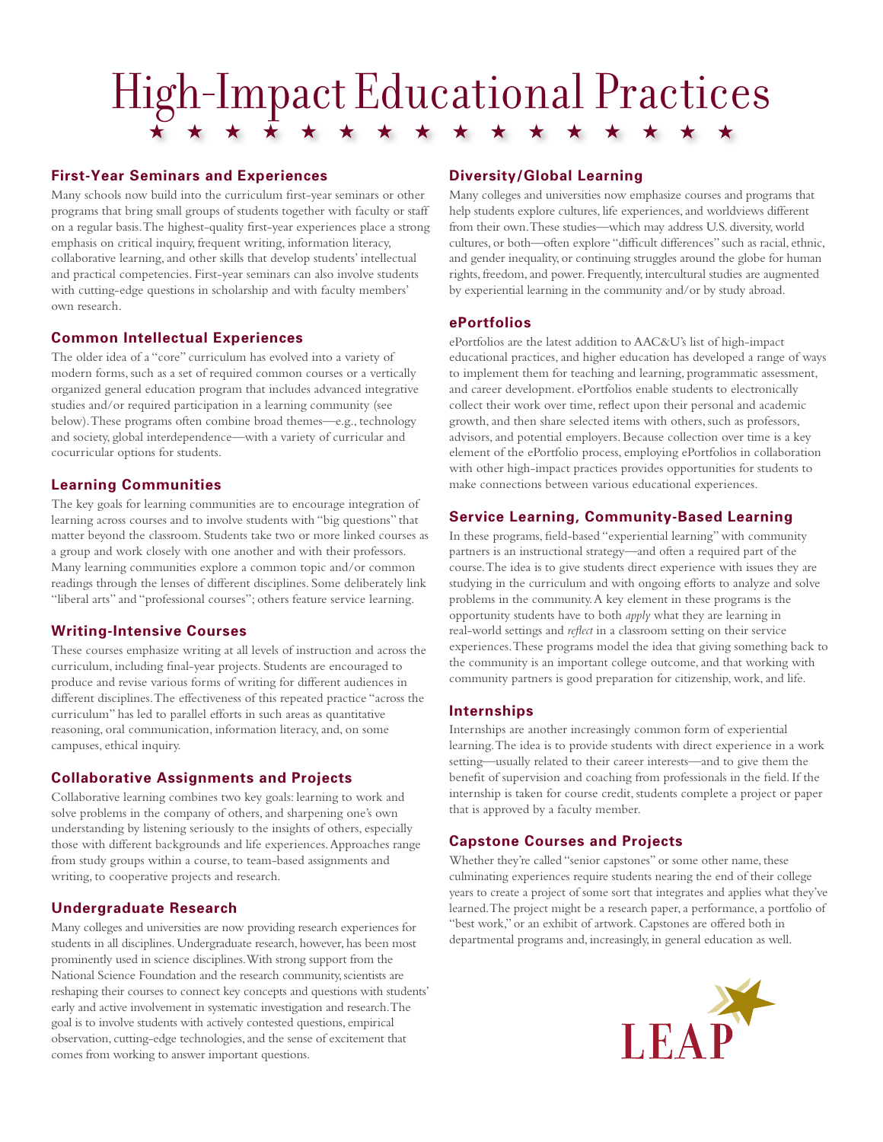# High-Impact Educational Practices

#### **First-Year Seminars and Experiences**

Many schools now build into the curriculum first-year seminars or other programs that bring small groups of students together with faculty or staff on a regular basis. The highest-quality first-year experiences place a strong emphasis on critical inquiry, frequent writing, information literacy, collaborative learning, and other skills that develop students' intellectual and practical competencies. First-year seminars can also involve students with cutting-edge questions in scholarship and with faculty members' own research.

# **Common Intellectual Experiences**

The older idea of a "core" curriculum has evolved into a variety of modern forms, such as a set of required common courses or a vertically organized general education program that includes advanced integrative studies and/or required participation in a learning community (see below). These programs often combine broad themes—e.g., technology and society, global interdependence—with a variety of curricular and cocurricular options for students.

#### **Learning Communities**

The key goals for learning communities are to encourage integration of learning across courses and to involve students with "big questions" that matter beyond the classroom. Students take two or more linked courses as a group and work closely with one another and with their professors. Many learning communities explore a common topic and/or common readings through the lenses of different disciplines. Some deliberately link "liberal arts" and "professional courses"; others feature service learning.

#### **Writing-Intensive Courses**

These courses emphasize writing at all levels of instruction and across the curriculum, including final-year projects. Students are encouraged to produce and revise various forms of writing for different audiences in different disciplines. The effectiveness of this repeated practice "across the curriculum" has led to parallel efforts in such areas as quantitative reasoning, oral communication, information literacy, and, on some campuses, ethical inquiry.

# **Collaborative Assignments and Projects**

Collaborative learning combines two key goals: learning to work and solve problems in the company of others, and sharpening one's own understanding by listening seriously to the insights of others, especially those with different backgrounds and life experiences. Approaches range from study groups within a course, to team-based assignments and writing, to cooperative projects and research.

# **Undergraduate Research**

Many colleges and universities are now providing research experiences for students in all disciplines. Undergraduate research, however, has been most prominently used in science disciplines. With strong support from the National Science Foundation and the research community, scientists are reshaping their courses to connect key concepts and questions with students' early and active involvement in systematic investigation and research. The goal is to involve students with actively contested questions, empirical observation, cutting-edge technologies, and the sense of excitement that comes from working to answer important questions.

#### **Diversity/Global Learning**

Many colleges and universities now emphasize courses and programs that help students explore cultures, life experiences, and worldviews different from their own. These studies—which may address U.S. diversity, world cultures, or both—often explore "difficult differences" such as racial, ethnic, and gender inequality, or continuing struggles around the globe for human rights, freedom, and power. Frequently, intercultural studies are augmented by experiential learning in the community and/or by study abroad.

#### **ePortfolios**

ePortfolios are the latest addition to AAC&U's list of high-impact educational practices, and higher education has developed a range of ways to implement them for teaching and learning, programmatic assessment, and career development. ePortfolios enable students to electronically collect their work over time, reflect upon their personal and academic growth, and then share selected items with others, such as professors, advisors, and potential employers. Because collection over time is a key element of the ePortfolio process, employing ePortfolios in collaboration with other high-impact practices provides opportunities for students to make connections between various educational experiences.

#### **Service Learning, Community-Based Learning**

In these programs, field-based "experiential learning" with community partners is an instructional strategy—and often a required part of the course. The idea is to give students direct experience with issues they are studying in the curriculum and with ongoing efforts to analyze and solve problems in the community. A key element in these programs is the opportunity students have to both *apply* what they are learning in real-world settings and *reflect* in a classroom setting on their service experiences. These programs model the idea that giving something back to the community is an important college outcome, and that working with community partners is good preparation for citizenship, work, and life.

# **Internships**

Internships are another increasingly common form of experiential learning. The idea is to provide students with direct experience in a work setting—usually related to their career interests—and to give them the benefit of supervision and coaching from professionals in the field. If the internship is taken for course credit, students complete a project or paper that is approved by a faculty member.

#### **Capstone Courses and Projects**

Whether they're called "senior capstones" or some other name, these culminating experiences require students nearing the end of their college years to create a project of some sort that integrates and applies what they've learned. The project might be a research paper, a performance, a portfolio of "best work," or an exhibit of artwork. Capstones are offered both in departmental programs and, increasingly, in general education as well.